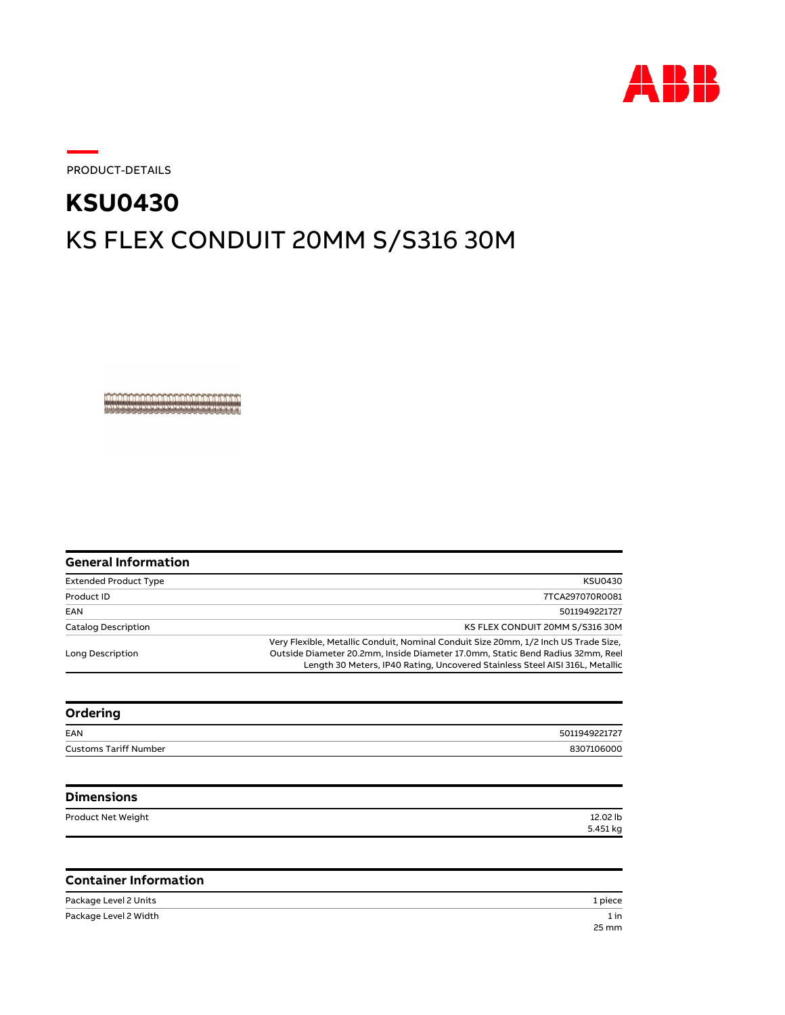

PRODUCT-DETAILS

## KS FLEX CONDUIT 20MM S/S316 30M **KSU0430**

, a a la de la rue de la barde de la barde de la r

| General Information          |                                                                                                                                                                                                                                                       |
|------------------------------|-------------------------------------------------------------------------------------------------------------------------------------------------------------------------------------------------------------------------------------------------------|
| <b>Extended Product Type</b> | <b>KSU0430</b>                                                                                                                                                                                                                                        |
| Product ID                   | 7TCA297070R0081                                                                                                                                                                                                                                       |
| EAN                          | 5011949221727                                                                                                                                                                                                                                         |
| Catalog Description          | KS FLEX CONDUIT 20MM S/S316 30M                                                                                                                                                                                                                       |
| Long Description             | Very Flexible, Metallic Conduit, Nominal Conduit Size 20mm, 1/2 Inch US Trade Size,<br>Outside Diameter 20.2mm, Inside Diameter 17.0mm, Static Bend Radius 32mm, Reel<br>Length 30 Meters, IP40 Rating, Uncovered Stainless Steel AISI 316L, Metallic |
|                              |                                                                                                                                                                                                                                                       |

| Ordering                     |               |
|------------------------------|---------------|
| EAN                          | 5011949221727 |
| <b>Customs Tariff Number</b> | 8307106000    |
|                              |               |

| <b>Dimensions</b>  |          |
|--------------------|----------|
| Product Net Weight | 12.02 lb |
|                    | 5.451 kg |

## **Container Information**

| Package Level 2 Units | 1 piece |
|-----------------------|---------|
| Package Level 2 Width | 1 in    |
|                       | 25 mm   |